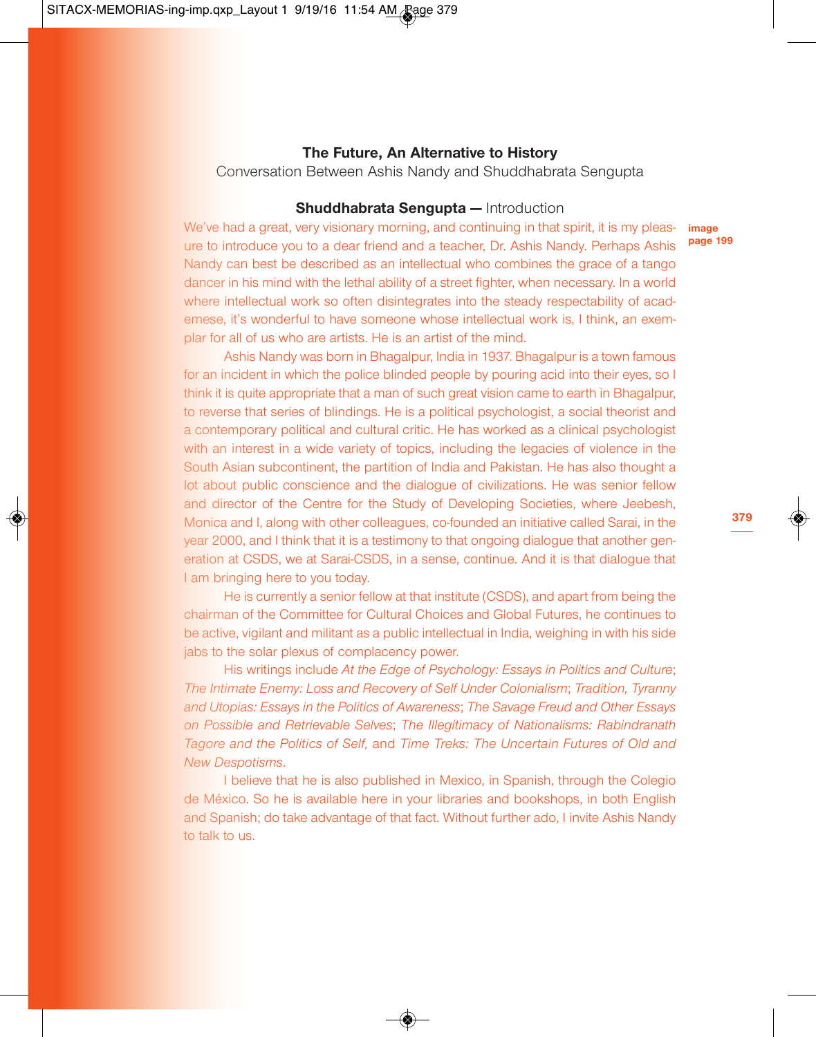# **The Future, An Alternative to History**

Conversation Between Ashis Nandy and Shuddhabrata Sengupta

# **Shuddhabrata Sengupta —** Introduction

We've had a great, very visionary morning, and continuing in that spirit, it is my pleasure to introduce you to a dear friend and a teacher, Dr. Ashis Nandy. Perhaps Ashis Nandy can best be described as an intellectual who combines the grace of a tango dancer in his mind with the lethal ability of a street fighter, when necessary. In a world where intellectual work so often disintegrates into the steady respectability of academese, it's wonderful to have someone whose intellectual work is, I think, an exemplar for all of us who are artists. He is an artist of the mind.

Ashis Nandy was born in Bhagalpur, India in 1937. Bhagalpur is a town famous for an incident in which the police blinded people by pouring acid into their eyes, so I think it is quite appropriate that a man of such great vision came to earth in Bhagalpur, to reverse that series of blindings. He is a political psychologist, a social theorist and a contemporary political and cultural critic. He has worked as a clinical psychologist with an interest in a wide variety of topics, including the legacies of violence in the South Asian subcontinent, the partition of India and Pakistan. He has also thought a lot about public conscience and the dialogue of civilizations. He was senior fellow and director of the Centre for the Study of Developing Societies, where Jeebesh, Monica and I, along with other colleagues, co-founded an initiative called Sarai, in the year 2000, and I think that it is a testimony to that ongoing dialogue that another generation at CSDS, we at Sarai-CSDS, in a sense, continue. And it is that dialogue that I am bringing here to you today.

He is currently a senior fellow at that institute (CSDS), and apart from being the chairman of the Committee for Cultural Choices and Global Futures, he continues to be active, vigilant and militant as a public intellectual in India, weighing in with his side jabs to the solar plexus of complacency power.

His writings include *At the Edge of Psychology: Essays in Politics and Culture*; *The Intimate Enemy: Loss and Recovery of Self Under Colonialism*; *Tradition, Tyranny and Utopias: Essays in the Politics of Awareness*; *The Savage Freud and Other Essays on Possible and Retrievable Selves*; *The Illegitimacy of Nationalisms: Rabindranath Tagore and the Politics of Self,* and *Time Treks: The Uncertain Futures of Old and New Despotisms*.

I believe that he is also published in Mexico, in Spanish, through the Colegio de México. So he is available here in your libraries and bookshops, in both English and Spanish; do take advantage of that fact. Without further ado, I invite Ashis Nandy to talk to us.

**image page 199**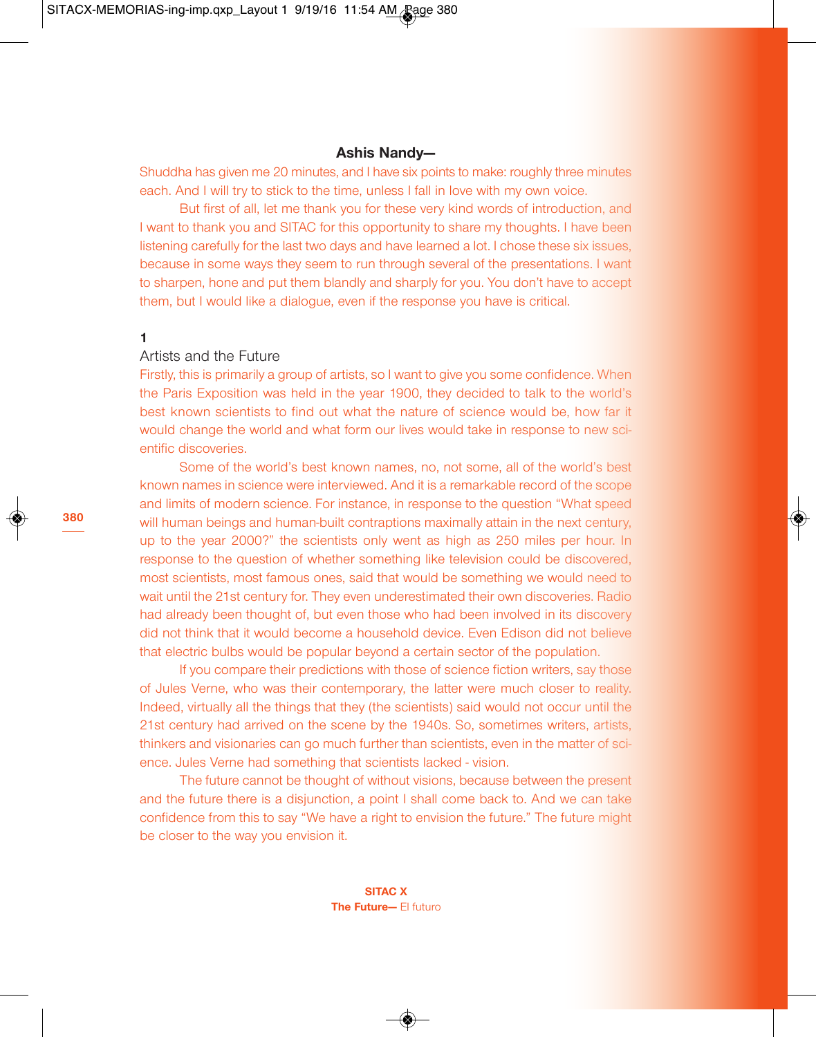#### **Ashis Nandy—**

Shuddha has given me 20 minutes, and I have six points to make: roughly three minutes each. And I will try to stick to the time, unless I fall in love with my own voice.

But first of all, let me thank you for these very kind words of introduction, and I want to thank you and SITAC for this opportunity to share my thoughts. I have been listening carefully for the last two days and have learned a lot. I chose these six issues, because in some ways they seem to run through several of the presentations. I want to sharpen, hone and put them blandly and sharply for you. You don't have to accept them, but I would like a dialogue, even if the response you have is critical.

## **1**

## Artists and the Future

Firstly, this is primarily a group of artists, so I want to give you some confidence. When the Paris Exposition was held in the year 1900, they decided to talk to the world's best known scientists to find out what the nature of science would be, how far it would change the world and what form our lives would take in response to new scientific discoveries.

Some of the world's best known names, no, not some, all of the world's best known names in science were interviewed. And it is a remarkable record of the scope and limits of modern science. For instance, in response to the question "What speed will human beings and human-built contraptions maximally attain in the next century, up to the year 2000?" the scientists only went as high as 250 miles per hour. In response to the question of whether something like television could be discovered, most scientists, most famous ones, said that would be something we would need to wait until the 21st century for. They even underestimated their own discoveries. Radio had already been thought of, but even those who had been involved in its discovery did not think that it would become a household device. Even Edison did not believe that electric bulbs would be popular beyond a certain sector of the population.

If you compare their predictions with those of science fiction writers, say those of Jules Verne, who was their contemporary, the latter were much closer to reality. Indeed, virtually all the things that they (the scientists) said would not occur until the 21st century had arrived on the scene by the 1940s. So, sometimes writers, artists, thinkers and visionaries can go much further than scientists, even in the matter of science. Jules Verne had something that scientists lacked - vision.

The future cannot be thought of without visions, because between the present and the future there is a disjunction, a point I shall come back to. And we can take confidence from this to say "We have a right to envision the future." The future might be closer to the way you envision it.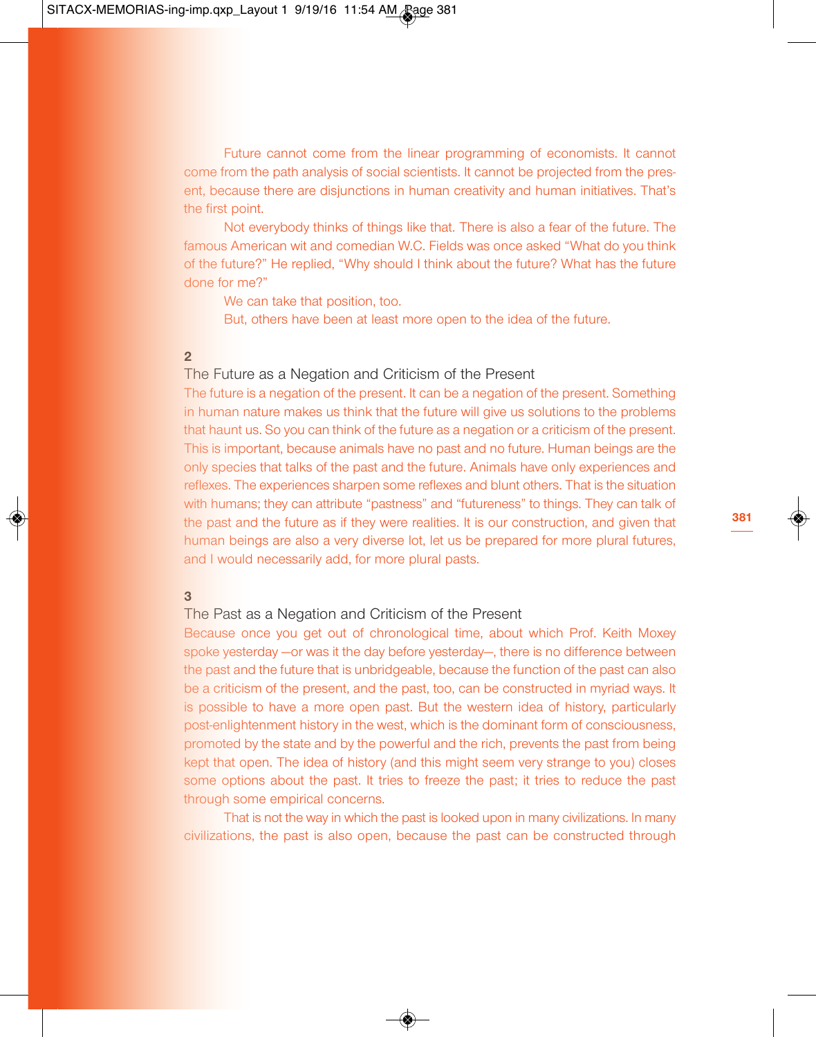Future cannot come from the linear programming of economists. It cannot come from the path analysis of social scientists. It cannot be projected from the present, because there are disjunctions in human creativity and human initiatives. That's the first point.

Not everybody thinks of things like that. There is also a fear of the future. The famous American wit and comedian W.C. Fields was once asked "What do you think of the future?" He replied, "Why should I think about the future? What has the future done for me?"

We can take that position, too.

But, others have been at least more open to the idea of the future.

## **2**

# The Future as a Negation and Criticism of the Present

The future is a negation of the present. It can be a negation of the present. Something in human nature makes us think that the future will give us solutions to the problems that haunt us. So you can think of the future as a negation or a criticism of the present. This is important, because animals have no past and no future. Human beings are the only species that talks of the past and the future. Animals have only experiences and reflexes. The experiences sharpen some reflexes and blunt others. That is the situation with humans; they can attribute "pastness" and "futureness" to things. They can talk of the past and the future as if they were realities. It is our construction, and given that human beings are also a very diverse lot, let us be prepared for more plural futures, and I would necessarily add, for more plural pasts.

# **3**

#### The Past as a Negation and Criticism of the Present

Because once you get out of chronological time, about which Prof. Keith Moxey spoke yesterday —or was it the day before yesterday—, there is no difference between the past and the future that is unbridgeable, because the function of the past can also be a criticism of the present, and the past, too, can be constructed in myriad ways. It is possible to have a more open past. But the western idea of history, particularly post-enlightenment history in the west, which is the dominant form of consciousness, promoted by the state and by the powerful and the rich, prevents the past from being kept that open. The idea of history (and this might seem very strange to you) closes some options about the past. It tries to freeze the past; it tries to reduce the past through some empirical concerns.

That is not the way in which the past is looked upon in many civilizations. In many civilizations, the past is also open, because the past can be constructed through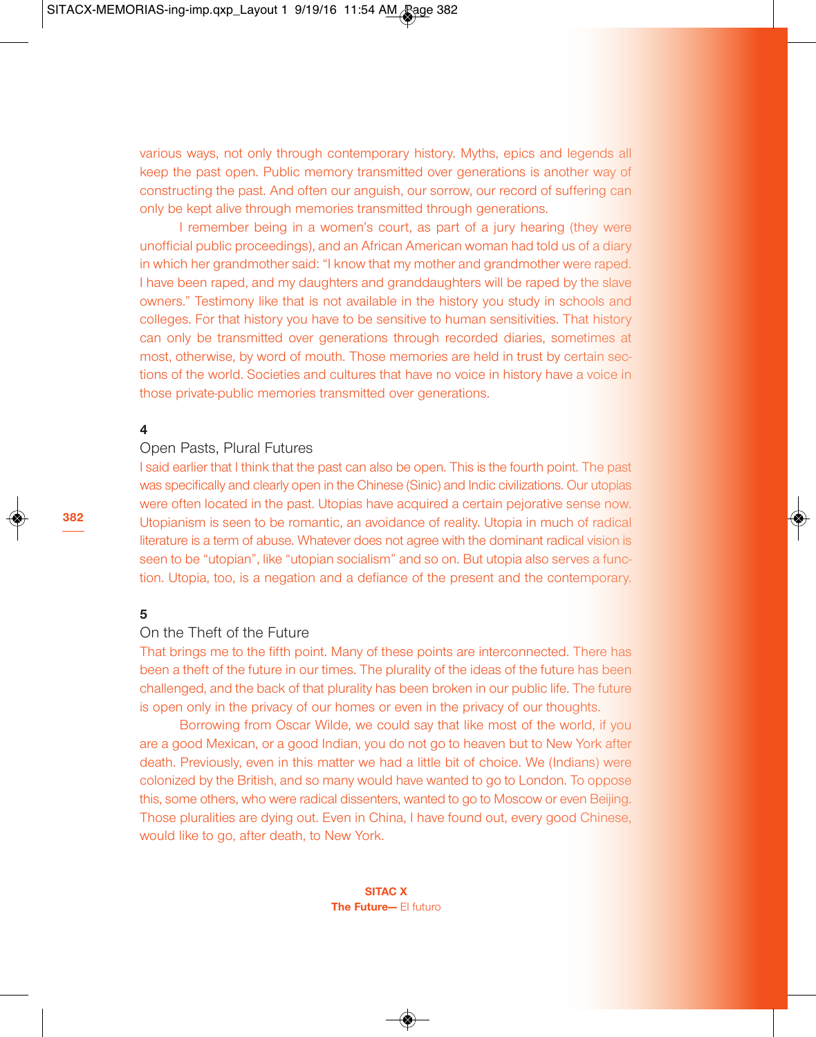various ways, not only through contemporary history. Myths, epics and legends all keep the past open. Public memory transmitted over generations is another way of constructing the past. And often our anguish, our sorrow, our record of suffering can only be kept alive through memories transmitted through generations.

I remember being in a women's court, as part of a jury hearing (they were unofficial public proceedings), and an African American woman had told us of a diary in which her grandmother said: "I know that my mother and grandmother were raped. I have been raped, and my daughters and granddaughters will be raped by the slave owners." Testimony like that is not available in the history you study in schools and colleges. For that history you have to be sensitive to human sensitivities. That history can only be transmitted over generations through recorded diaries, sometimes at most, otherwise, by word of mouth. Those memories are held in trust by certain sections of the world. Societies and cultures that have no voice in history have a voice in those private-public memories transmitted over generations.

# **4**

# Open Pasts, Plural Futures

I said earlier that I think that the past can also be open. This is the fourth point. The past was specifically and clearly open in the Chinese (Sinic) and Indic civilizations. Our utopias were often located in the past. Utopias have acquired a certain pejorative sense now. Utopianism is seen to be romantic, an avoidance of reality. Utopia in much of radical literature is a term of abuse. Whatever does not agree with the dominant radical vision is seen to be "utopian", like "utopian socialism" and so on. But utopia also serves a function. Utopia, too, is a negation and a defiance of the present and the contemporary.

## **5**

# On the Theft of the Future

That brings me to the fifth point. Many of these points are interconnected. There has been a theft of the future in our times. The plurality of the ideas of the future has been challenged, and the back of that plurality has been broken in our public life. The future is open only in the privacy of our homes or even in the privacy of our thoughts.

Borrowing from Oscar Wilde, we could say that like most of the world, if you are a good Mexican, or a good Indian, you do not go to heaven but to New York after death. Previously, even in this matter we had a little bit of choice. We (Indians) were colonized by the British, and so many would have wanted to go to London. To oppose this, some others, who were radical dissenters, wanted to go to Moscow or even Beijing. Those pluralities are dying out. Even in China, I have found out, every good Chinese, would like to go, after death, to New York.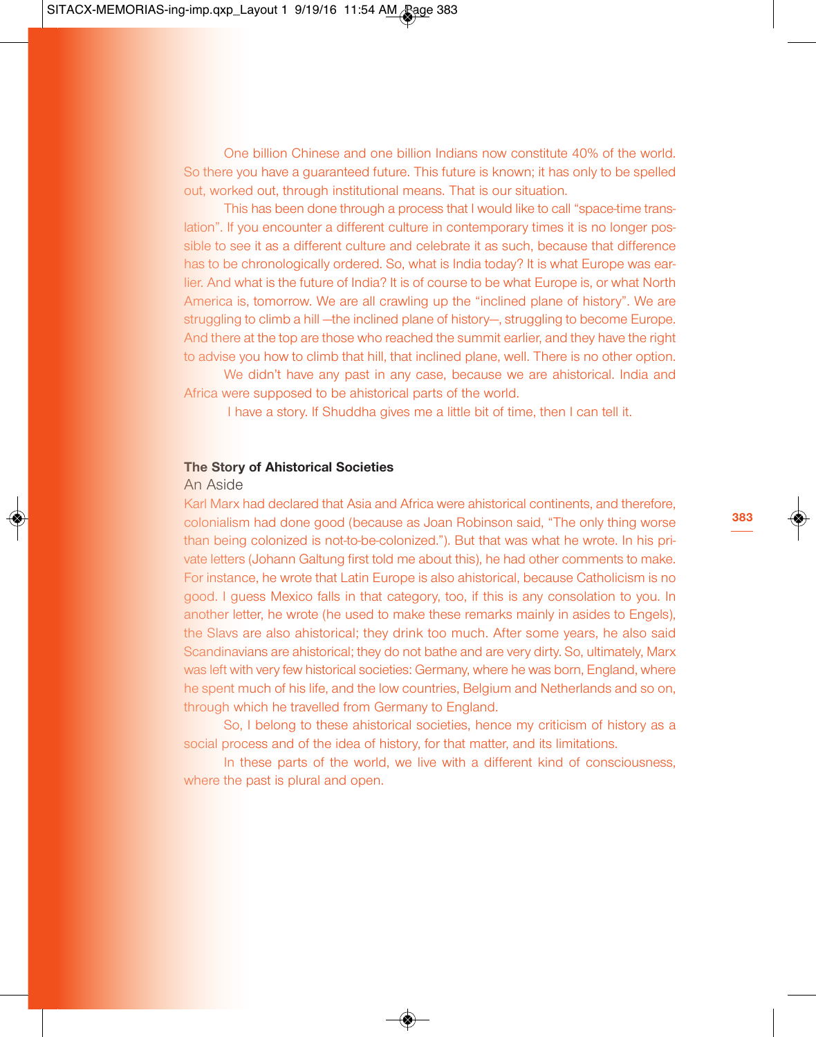One billion Chinese and one billion Indians now constitute 40% of the world. So there you have a guaranteed future. This future is known; it has only to be spelled out, worked out, through institutional means. That is our situation.

This has been done through a process that I would like to call "space-time translation". If you encounter a different culture in contemporary times it is no longer possible to see it as a different culture and celebrate it as such, because that difference has to be chronologically ordered. So, what is India today? It is what Europe was earlier. And what is the future of India? It is of course to be what Europe is, or what North America is, tomorrow. We are all crawling up the "inclined plane of history". We are struggling to climb a hill —the inclined plane of history—, struggling to become Europe. And there at the top are those who reached the summit earlier, and they have the right to advise you how to climb that hill, that inclined plane, well. There is no other option.

We didn't have any past in any case, because we are ahistorical. India and Africa were supposed to be ahistorical parts of the world.

I have a story. If Shuddha gives me a little bit of time, then I can tell it.

# **The Story of Ahistorical Societies**

# An Aside

Karl Marx had declared that Asia and Africa were ahistorical continents, and therefore, colonialism had done good (because as Joan Robinson said, "The only thing worse than being colonized is not-to-be-colonized."). But that was what he wrote. In his private letters (Johann Galtung first told me about this), he had other comments to make. For instance, he wrote that Latin Europe is also ahistorical, because Catholicism is no good. I guess Mexico falls in that category, too, if this is any consolation to you. In another letter, he wrote (he used to make these remarks mainly in asides to Engels), the Slavs are also ahistorical; they drink too much. After some years, he also said Scandinavians are ahistorical; they do not bathe and are very dirty. So, ultimately, Marx was left with very few historical societies: Germany, where he was born, England, where he spent much of his life, and the low countries, Belgium and Netherlands and so on, through which he travelled from Germany to England.

So, I belong to these ahistorical societies, hence my criticism of history as a social process and of the idea of history, for that matter, and its limitations.

In these parts of the world, we live with a different kind of consciousness, where the past is plural and open.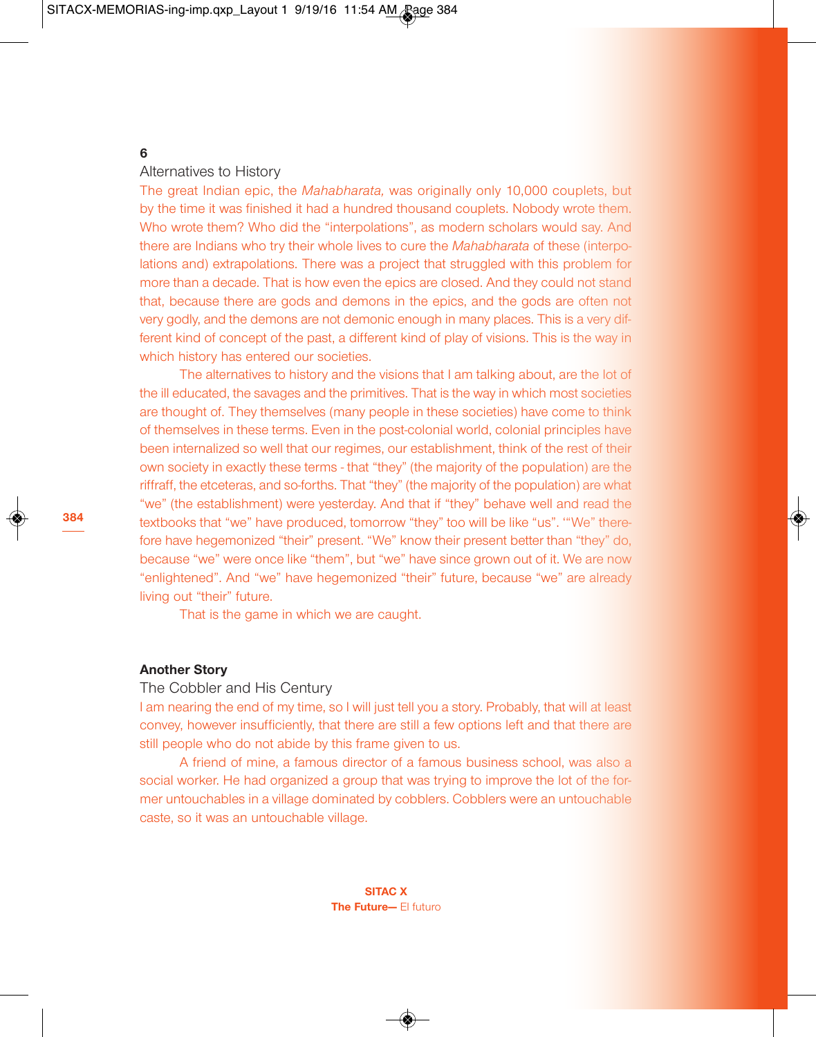# **6**

# Alternatives to History

The great Indian epic, the *Mahabharata,* was originally only 10,000 couplets, but by the time it was finished it had a hundred thousand couplets. Nobody wrote them. Who wrote them? Who did the "interpolations", as modern scholars would say. And there are Indians who try their whole lives to cure the *Mahabharata* of these (interpolations and) extrapolations. There was a project that struggled with this problem for more than a decade. That is how even the epics are closed. And they could not stand that, because there are gods and demons in the epics, and the gods are often not very godly, and the demons are not demonic enough in many places. This is a very different kind of concept of the past, a different kind of play of visions. This is the way in which history has entered our societies.

The alternatives to history and the visions that I am talking about, are the lot of the ill educated, the savages and the primitives. That is the way in which most societies are thought of. They themselves (many people in these societies) have come to think of themselves in these terms. Even in the post-colonial world, colonial principles have been internalized so well that our regimes, our establishment, think of the rest of their own society in exactly these terms - that "they" (the majority of the population) are the riffraff, the etceteras, and so-forths. That "they" (the majority of the population) are what "we" (the establishment) were yesterday. And that if "they" behave well and read the textbooks that "we" have produced, tomorrow "they" too will be like "us". '"We" therefore have hegemonized "their" present. "We" know their present better than "they" do, because "we" were once like "them", but "we" have since grown out of it. We are now "enlightened". And "we" have hegemonized "their" future, because "we" are already living out "their" future.

That is the game in which we are caught.

# **Another Story**

#### The Cobbler and His Century

I am nearing the end of my time, so I will just tell you a story. Probably, that will at least convey, however insufficiently, that there are still a few options left and that there are still people who do not abide by this frame given to us.

A friend of mine, a famous director of a famous business school, was also a social worker. He had organized a group that was trying to improve the lot of the former untouchables in a village dominated by cobblers. Cobblers were an untouchable caste, so it was an untouchable village.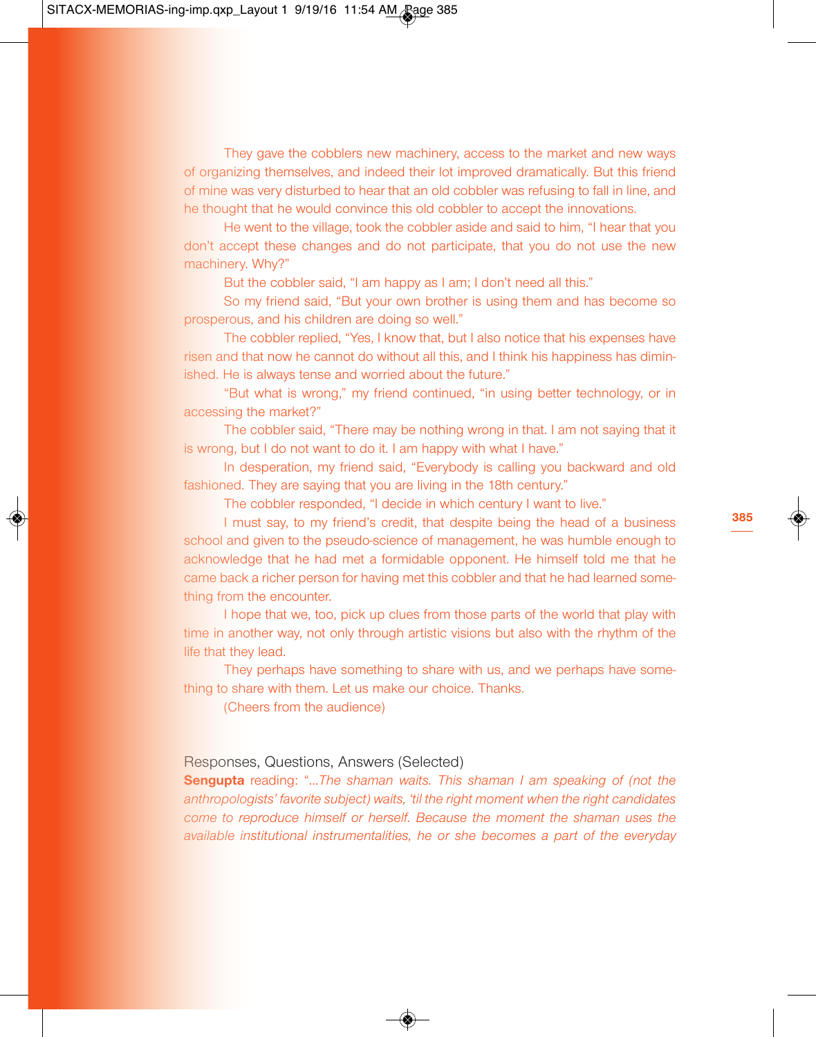They gave the cobblers new machinery, access to the market and new ways of organizing themselves, and indeed their lot improved dramatically. But this friend of mine was very disturbed to hear that an old cobbler was refusing to fall in line, and he thought that he would convince this old cobbler to accept the innovations.

He went to the village, took the cobbler aside and said to him, "I hear that you don't accept these changes and do not participate, that you do not use the new machinery. Why?"

But the cobbler said, "I am happy as I am; I don't need all this."

So my friend said, "But your own brother is using them and has become so prosperous, and his children are doing so well."

The cobbler replied, "Yes, I know that, but I also notice that his expenses have risen and that now he cannot do without all this, and I think his happiness has diminished. He is always tense and worried about the future."

"But what is wrong," my friend continued, "in using better technology, or in accessing the market?"

The cobbler said, "There may be nothing wrong in that. I am not saying that it is wrong, but I do not want to do it. I am happy with what I have."

In desperation, my friend said, "Everybody is calling you backward and old fashioned. They are saying that you are living in the 18th century."

The cobbler responded, "I decide in which century I want to live."

I must say, to my friend's credit, that despite being the head of a business school and given to the pseudo-science of management, he was humble enough to acknowledge that he had met a formidable opponent. He himself told me that he came back a richer person for having met this cobbler and that he had learned something from the encounter.

I hope that we, too, pick up clues from those parts of the world that play with time in another way, not only through artistic visions but also with the rhythm of the life that they lead.

They perhaps have something to share with us, and we perhaps have something to share with them. Let us make our choice. Thanks.

(Cheers from the audience)

# Responses, Questions, Answers (Selected)

**Sengupta** reading: "…*The shaman waits. This shaman I am speaking of (not the anthropologists' favorite subject) waits, 'til the right moment when the right candidates come to reproduce himself or herself. Because the moment the shaman uses the available institutional instrumentalities, he or she becomes a part of the everyday*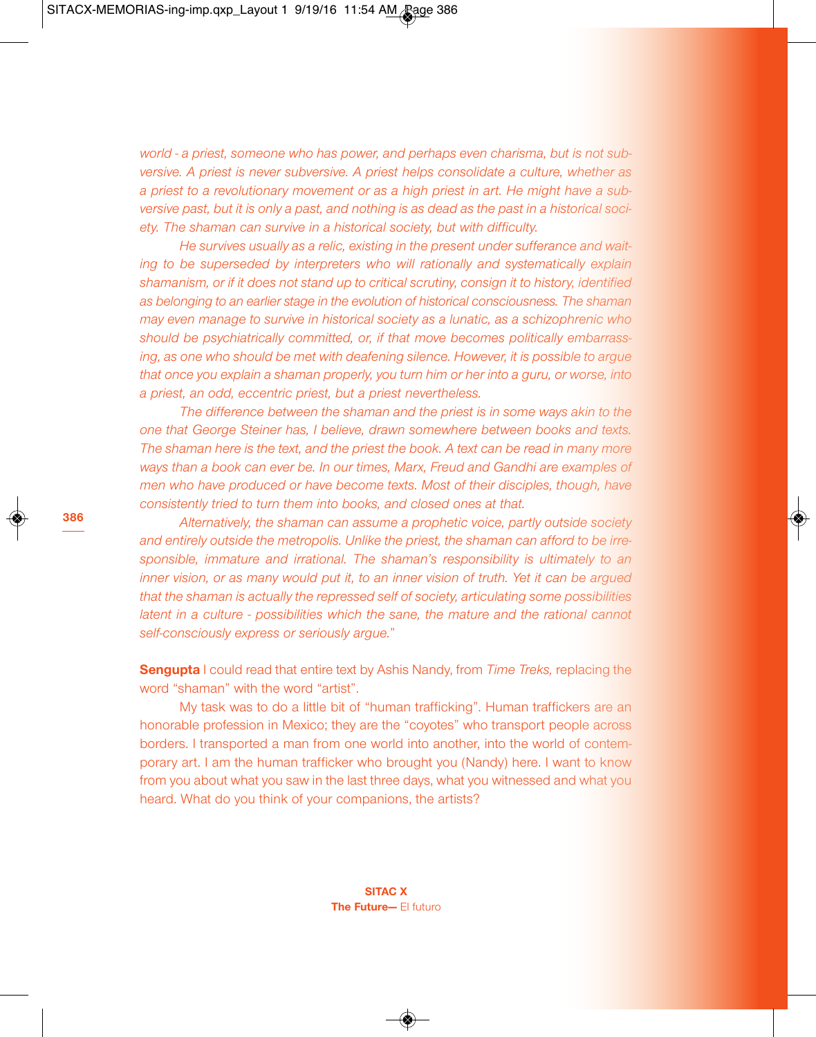*world - a priest, someone who has power, and perhaps even charisma, but is not subversive. A priest is never subversive. A priest helps consolidate a culture, whether as a priest to a revolutionary movement or as a high priest in art. He might have a sub*versive past, but it is only a past, and nothing is as dead as the past in a historical soci*ety. The shaman can survive in a historical society, but with difficulty.*

*He survives usually as a relic, existing in the present under sufferance and waiting to be superseded by interpreters who will rationally and systematically explain shamanism, or if it does not stand up to critical scrutiny, consign it to history, identified as belonging to an earlier stage in the evolution of historical consciousness. The shaman may even manage to survive in historical society as a lunatic, as a schizophrenic who should be psychiatrically committed, or, if that move becomes politically embarrassing, as one who should be met with deafening silence. However, it is possible to argue that once you explain a shaman properly, you turn him or her into a guru, or worse, into a priest, an odd, eccentric priest, but a priest nevertheless.*

*The difference between the shaman and the priest is in some ways akin to the one that George Steiner has, I believe, drawn somewhere between books and texts. The shaman here is the text, and the priest the book. A text can be read in many more ways than a book can ever be. In our times, Marx, Freud and Gandhi are examples of men who have produced or have become texts. Most of their disciples, though, have consistently tried to turn them into books, and closed ones at that.*

*Alternatively, the shaman can assume a prophetic voice, partly outside society and entirely outside the metropolis. Unlike the priest, the shaman can afford to be irresponsible, immature and irrational. The shaman's responsibility is ultimately to an inner vision, or as many would put it, to an inner vision of truth. Yet it can be argued that the shaman is actually the repressed self of society, articulating some possibilities latent in a culture - possibilities which the sane, the mature and the rational cannot self-consciously express or seriously argue.*"

**Sengupta** I could read that entire text by Ashis Nandy, from *Time Treks,* replacing the word "shaman" with the word "artist".

My task was to do a little bit of "human trafficking". Human traffickers are an honorable profession in Mexico; they are the "coyotes" who transport people across borders. I transported a man from one world into another, into the world of contemporary art. I am the human trafficker who brought you (Nandy) here. I want to know from you about what you saw in the last three days, what you witnessed and what you heard. What do you think of your companions, the artists?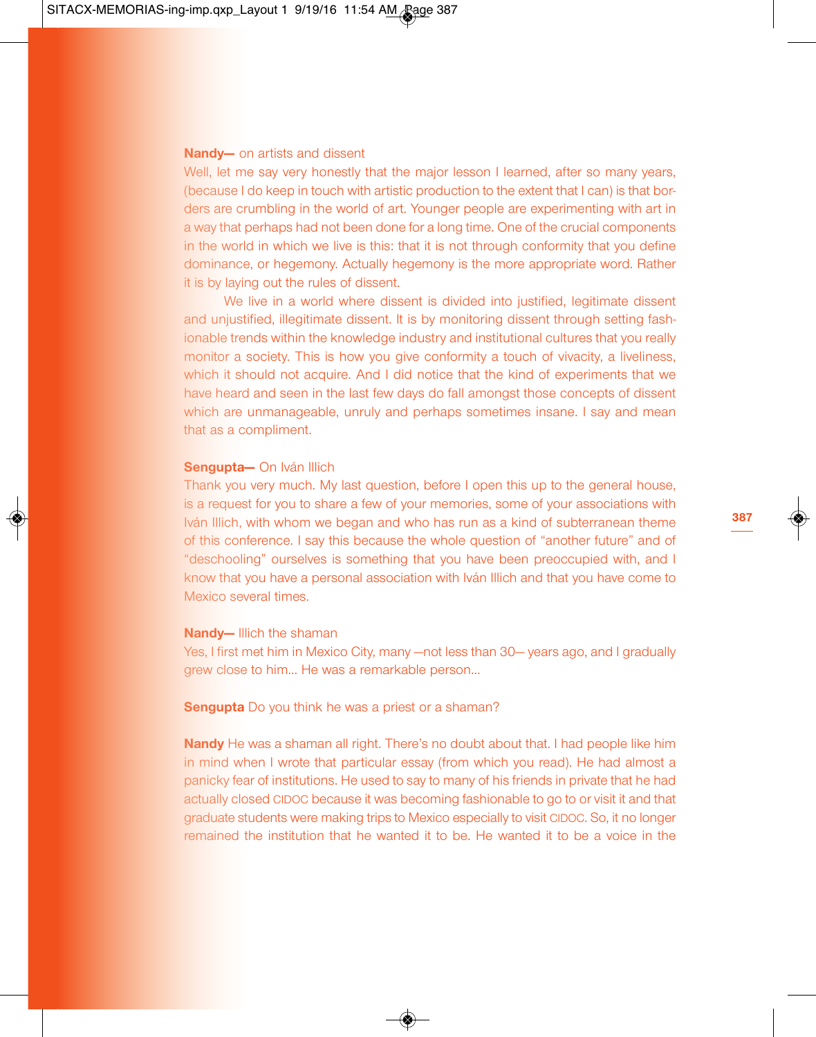## **Nandy—** on artists and dissent

Well, let me say very honestly that the major lesson I learned, after so many years, (because I do keep in touch with artistic production to the extent that I can) is that borders are crumbling in the world of art. Younger people are experimenting with art in a way that perhaps had not been done for a long time. One of the crucial components in the world in which we live is this: that it is not through conformity that you define dominance, or hegemony. Actually hegemony is the more appropriate word. Rather it is by laying out the rules of dissent.

We live in a world where dissent is divided into justified, legitimate dissent and unjustified, illegitimate dissent. It is by monitoring dissent through setting fashionable trends within the knowledge industry and institutional cultures that you really monitor a society. This is how you give conformity a touch of vivacity, a liveliness, which it should not acquire. And I did notice that the kind of experiments that we have heard and seen in the last few days do fall amongst those concepts of dissent which are unmanageable, unruly and perhaps sometimes insane. I say and mean that as a compliment.

#### **Sengupta—** On Iván Illich

Thank you very much. My last question, before I open this up to the general house, is a request for you to share a few of your memories, some of your associations with Iván Illich, with whom we began and who has run as a kind of subterranean theme of this conference. I say this because the whole question of "another future" and of "deschooling" ourselves is something that you have been preoccupied with, and I know that you have a personal association with Iván Illich and that you have come to Mexico several times.

#### **Nandy—** Illich the shaman

Yes, I first met him in Mexico City, many —not less than 30— years ago, and I gradually grew close to him… He was a remarkable person…

**Sengupta** Do you think he was a priest or a shaman?

**Nandy** He was a shaman all right. There's no doubt about that. I had people like him in mind when I wrote that particular essay (from which you read). He had almost a panicky fear of institutions. He used to say to many of his friends in private that he had actually closed CIDOC because it was becoming fashionable to go to or visit it and that graduate students were making trips to Mexico especially to visit CIDOC. So, it no longer remained the institution that he wanted it to be. He wanted it to be a voice in the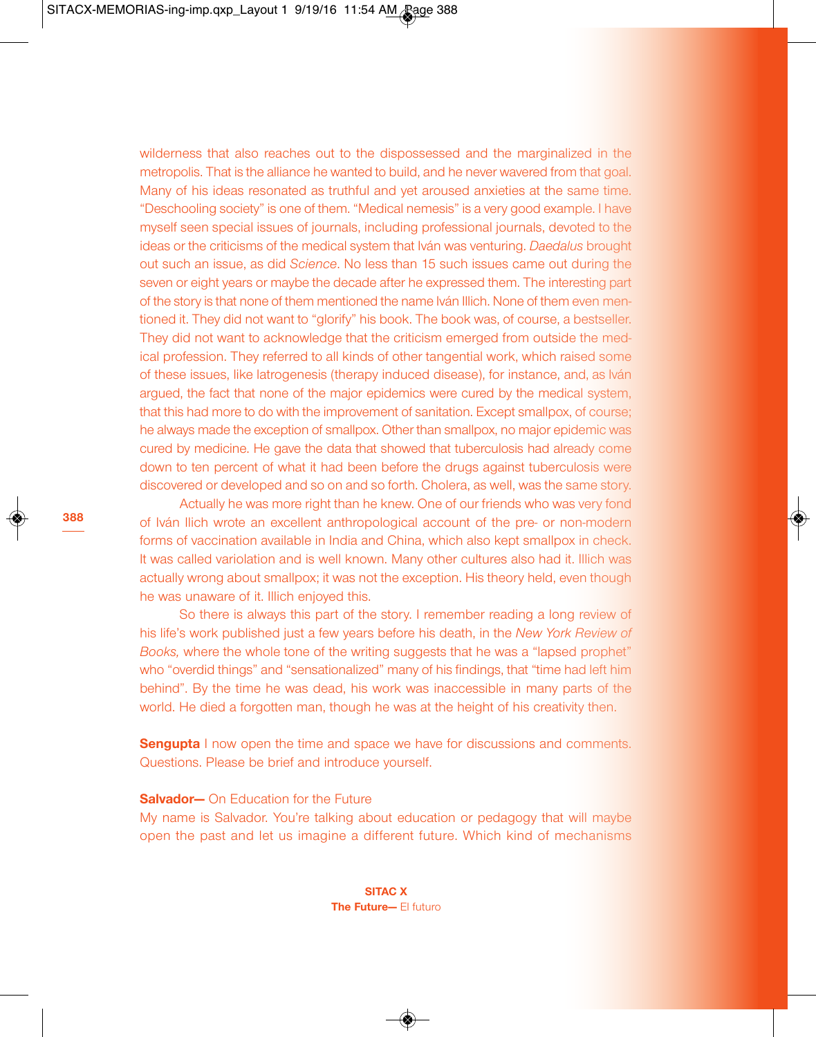wilderness that also reaches out to the dispossessed and the marginalized in the metropolis. That is the alliance he wanted to build, and he never wavered from that goal. Many of his ideas resonated as truthful and yet aroused anxieties at the same time. "Deschooling society" is one of them. "Medical nemesis" is a very good example. I have myself seen special issues of journals, including professional journals, devoted to the ideas or the criticisms of the medical system that Iván was venturing. *Daedalus* brought out such an issue, as did *Science*. No less than 15 such issues came out during the seven or eight years or maybe the decade after he expressed them. The interesting part of the story is that none of them mentioned the name Iván Illich. None of them even mentioned it. They did not want to "glorify" his book. The book was, of course, a bestseller. They did not want to acknowledge that the criticism emerged from outside the medical profession. They referred to all kinds of other tangential work, which raised some of these issues, like latrogenesis (therapy induced disease), for instance, and, as Iván argued, the fact that none of the major epidemics were cured by the medical system, that this had more to do with the improvement of sanitation. Except smallpox, of course; he always made the exception of smallpox. Other than smallpox, no major epidemic was cured by medicine. He gave the data that showed that tuberculosis had already come down to ten percent of what it had been before the drugs against tuberculosis were discovered or developed and so on and so forth. Cholera, as well, was the same story.

Actually he was more right than he knew. One of our friends who was very fond of Iván Ilich wrote an excellent anthropological account of the pre- or non-modern forms of vaccination available in India and China, which also kept smallpox in check. It was called variolation and is well known. Many other cultures also had it. Illich was actually wrong about smallpox; it was not the exception. His theory held, even though he was unaware of it. Illich enjoyed this.

So there is always this part of the story. I remember reading a long review of his life's work published just a few years before his death, in the *New York Review of Books,* where the whole tone of the writing suggests that he was a "lapsed prophet" who "overdid things" and "sensationalized" many of his findings, that "time had left him behind". By the time he was dead, his work was inaccessible in many parts of the world. He died a forgotten man, though he was at the height of his creativity then.

**Sengupta** I now open the time and space we have for discussions and comments. Questions. Please be brief and introduce yourself.

#### **Salvador-** On Education for the Future

My name is Salvador. You're talking about education or pedagogy that will maybe open the past and let us imagine a different future. Which kind of mechanisms

> **SITAC X The Future—** El futuro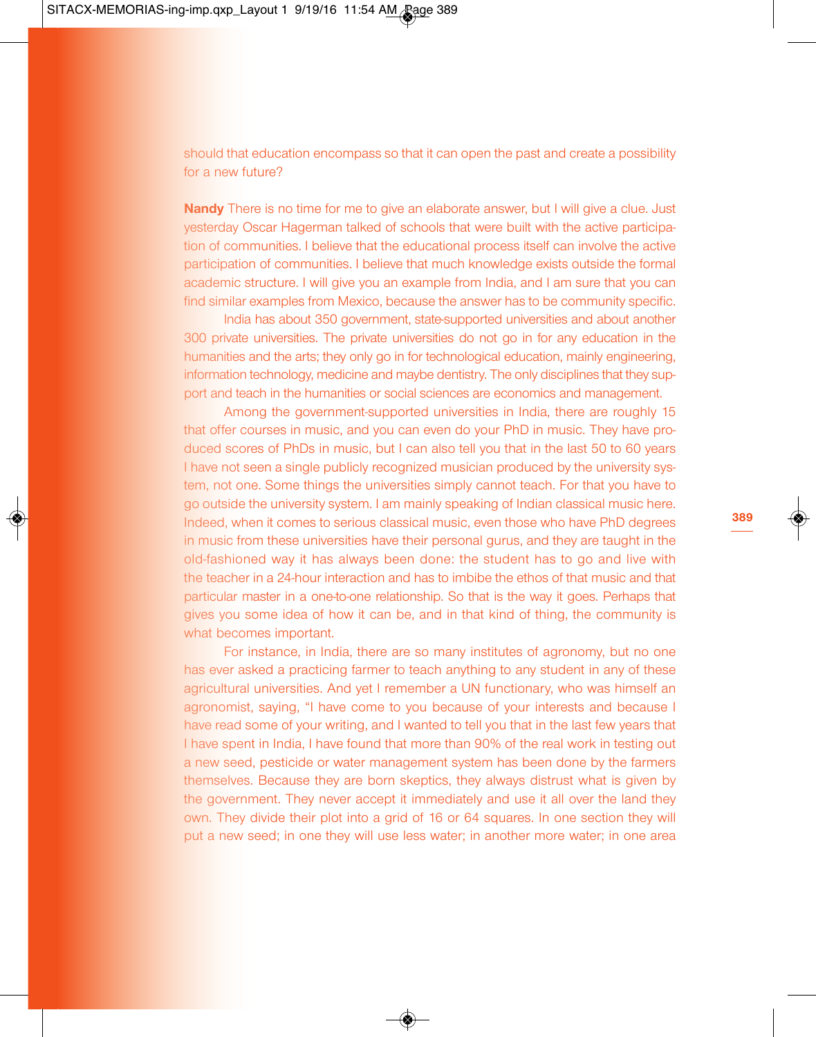should that education encompass so that it can open the past and create a possibility for a new future?

**Nandy** There is no time for me to give an elaborate answer, but I will give a clue. Just yesterday Oscar Hagerman talked of schools that were built with the active participation of communities. I believe that the educational process itself can involve the active participation of communities. I believe that much knowledge exists outside the formal academic structure. I will give you an example from India, and I am sure that you can find similar examples from Mexico, because the answer has to be community specific.

India has about 350 government, state-supported universities and about another 300 private universities. The private universities do not go in for any education in the humanities and the arts; they only go in for technological education, mainly engineering, information technology, medicine and maybe dentistry. The only disciplines that they support and teach in the humanities or social sciences are economics and management.

Among the government-supported universities in India, there are roughly 15 that offer courses in music, and you can even do your PhD in music. They have produced scores of PhDs in music, but I can also tell you that in the last 50 to 60 years I have not seen a single publicly recognized musician produced by the university system, not one. Some things the universities simply cannot teach. For that you have to go outside the university system. I am mainly speaking of Indian classical music here. Indeed, when it comes to serious classical music, even those who have PhD degrees in music from these universities have their personal gurus, and they are taught in the old-fashioned way it has always been done: the student has to go and live with the teacher in a 24-hour interaction and has to imbibe the ethos of that music and that particular master in a one-to-one relationship. So that is the way it goes. Perhaps that gives you some idea of how it can be, and in that kind of thing, the community is what becomes important.

For instance, in India, there are so many institutes of agronomy, but no one has ever asked a practicing farmer to teach anything to any student in any of these agricultural universities. And yet I remember a UN functionary, who was himself an agronomist, saying, "I have come to you because of your interests and because I have read some of your writing, and I wanted to tell you that in the last few years that I have spent in India, I have found that more than 90% of the real work in testing out a new seed, pesticide or water management system has been done by the farmers themselves. Because they are born skeptics, they always distrust what is given by the government. They never accept it immediately and use it all over the land they own. They divide their plot into a grid of 16 or 64 squares. In one section they will put a new seed; in one they will use less water; in another more water; in one area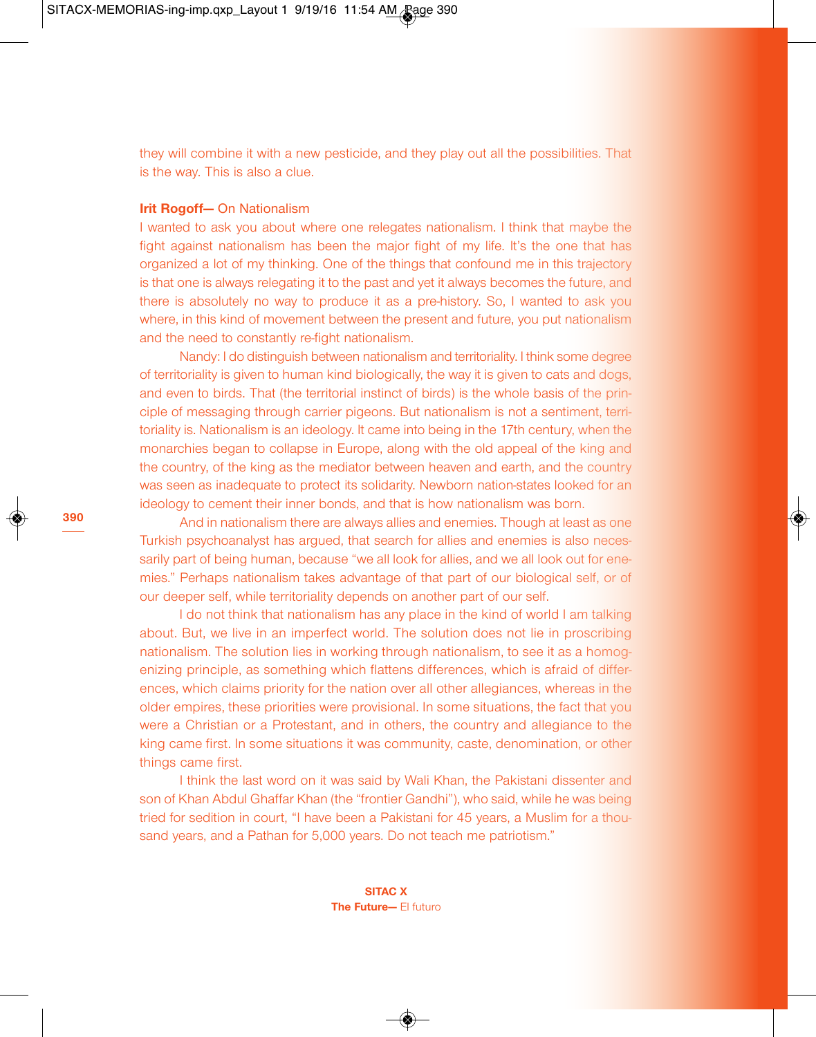they will combine it with a new pesticide, and they play out all the possibilities. That is the way. This is also a clue.

#### **Irit Rogoff-On Nationalism**

I wanted to ask you about where one relegates nationalism. I think that maybe the fight against nationalism has been the major fight of my life. It's the one that has organized a lot of my thinking. One of the things that confound me in this trajectory is that one is always relegating it to the past and yet it always becomes the future, and there is absolutely no way to produce it as a pre-history. So, I wanted to ask you where, in this kind of movement between the present and future, you put nationalism and the need to constantly re-fight nationalism.

Nandy: I do distinguish between nationalism and territoriality. I think some degree of territoriality is given to human kind biologically, the way it is given to cats and dogs, and even to birds. That (the territorial instinct of birds) is the whole basis of the principle of messaging through carrier pigeons. But nationalism is not a sentiment, territoriality is. Nationalism is an ideology. It came into being in the 17th century, when the monarchies began to collapse in Europe, along with the old appeal of the king and the country, of the king as the mediator between heaven and earth, and the country was seen as inadequate to protect its solidarity. Newborn nation-states looked for an ideology to cement their inner bonds, and that is how nationalism was born.

And in nationalism there are always allies and enemies. Though at least as one Turkish psychoanalyst has argued, that search for allies and enemies is also necessarily part of being human, because "we all look for allies, and we all look out for enemies." Perhaps nationalism takes advantage of that part of our biological self, or of our deeper self, while territoriality depends on another part of our self.

I do not think that nationalism has any place in the kind of world I am talking about. But, we live in an imperfect world. The solution does not lie in proscribing nationalism. The solution lies in working through nationalism, to see it as a homogenizing principle, as something which flattens differences, which is afraid of differences, which claims priority for the nation over all other allegiances, whereas in the older empires, these priorities were provisional. In some situations, the fact that you were a Christian or a Protestant, and in others, the country and allegiance to the king came first. In some situations it was community, caste, denomination, or other things came first.

I think the last word on it was said by Wali Khan, the Pakistani dissenter and son of Khan Abdul Ghaffar Khan (the "frontier Gandhi"), who said, while he was being tried for sedition in court, "I have been a Pakistani for 45 years, a Muslim for a thousand years, and a Pathan for 5,000 years. Do not teach me patriotism."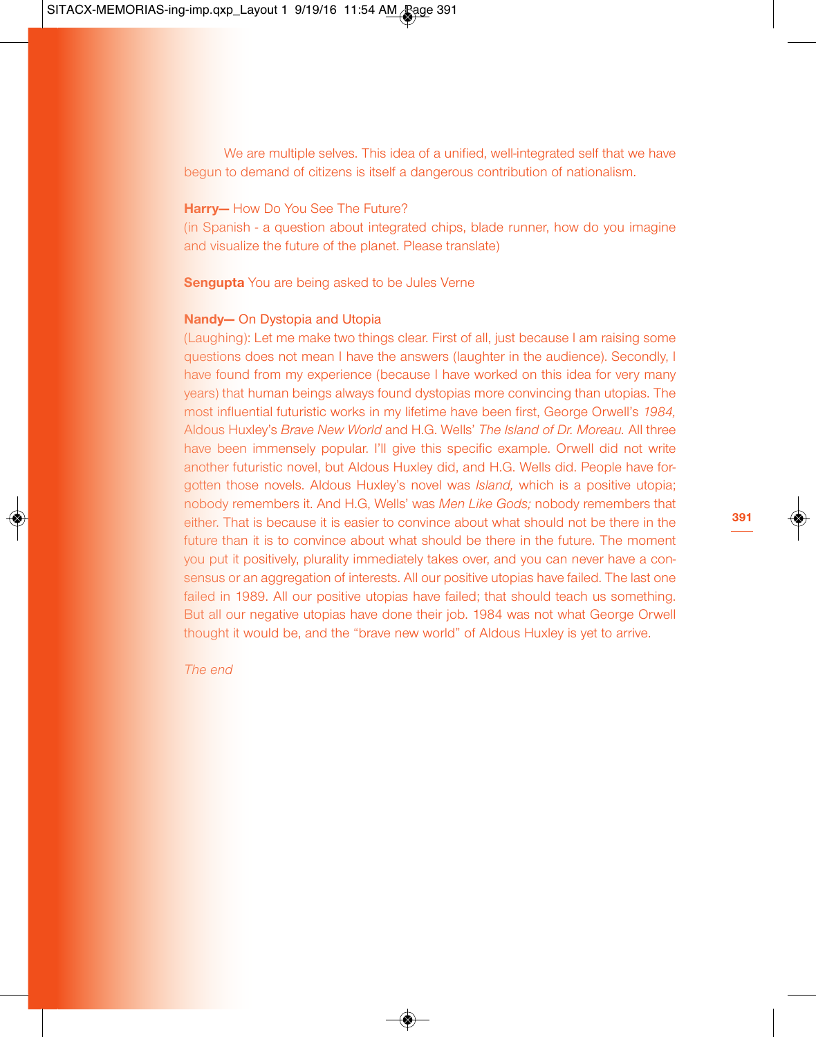We are multiple selves. This idea of a unified, well-integrated self that we have begun to demand of citizens is itself a dangerous contribution of nationalism.

#### **Harry—** How Do You See The Future?

(in Spanish - a question about integrated chips, blade runner, how do you imagine and visualize the future of the planet. Please translate)

**Sengupta** You are being asked to be Jules Verne

# **Nandy—** On Dystopia and Utopia

(Laughing): Let me make two things clear. First of all, just because I am raising some questions does not mean I have the answers (laughter in the audience). Secondly, I have found from my experience (because I have worked on this idea for very many years) that human beings always found dystopias more convincing than utopias. The most influential futuristic works in my lifetime have been first, George Orwell's *1984,* Aldous Huxley's *Brave New World* and H.G. Wells' *The Island of Dr. Moreau.* All three have been immensely popular. I'll give this specific example. Orwell did not write another futuristic novel, but Aldous Huxley did, and H.G. Wells did. People have forgotten those novels. Aldous Huxley's novel was *Island,* which is a positive utopia; nobody remembers it. And H.G, Wells' was *Men Like Gods;* nobody remembers that either. That is because it is easier to convince about what should not be there in the future than it is to convince about what should be there in the future. The moment you put it positively, plurality immediately takes over, and you can never have a consensus or an aggregation of interests. All our positive utopias have failed. The last one failed in 1989. All our positive utopias have failed; that should teach us something. But all our negative utopias have done their job. 1984 was not what George Orwell thought it would be, and the "brave new world" of Aldous Huxley is yet to arrive.

*The end*